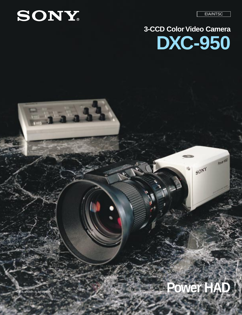EIA/NTSC

ROVEHAD

 $50^{NY}$ 



# **3-CCD Color Video Camera DXC-950**

# **Lens shown is an option.**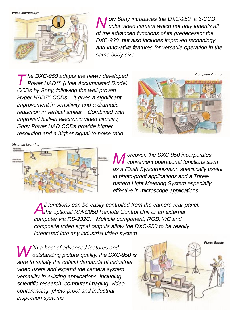

N ow Sony introduces the DXC-950, a 3-CCD<br>Color video camera which not only inherits all of the advanced functions of its predecessor the DXC-930, but also includes improved technology and innovative features for versatile operation in the same body size.

The DXC-950 adapts the newly developed<br>Power HAD™ (Hole Accumulated Diode) CCDs by Sony, following the well-proven Hyper HAD™ CCDs. It gives a significant improvement in sensitivity and a dramatic reduction in vertical smear. Combined with improved built-in electronic video circuitry, Sony Power HAD CCDs provide higher resolution and a higher signal-to-noise ratio.





**M** oreover, the DXC-950 incorporates<br> **M** convenient operational functions such as a Flash Synchronization specifically useful in photo-proof applications and a Threepattern Light Metering System especially effective in microscope applications.

Il functions can be easily controlled from the camera rear panel, the optional RM-C950 Remote Control Unit or an external computer via RS-232C. Multiple component, RGB, Y/C and composite video signal outputs allow the DXC-950 to be readily integrated into any industrial video system.

 $\blacksquare$  ith a host of advanced features and outstanding picture quality, the DXC-950 is sure to satisfy the critical demands of industrial video users and expand the camera system versatility in existing applications, including scientific research, computer imaging, video conferencing, photo-proof and industrial inspection systems.

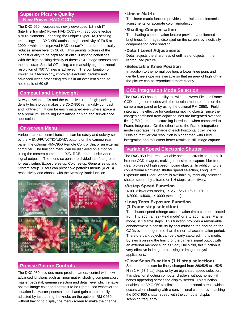# **Superior Picture Quality - New Power HAD CCDs**

The DXC-950 incorporates newly developed 1/2-inch IT (Interline Transfer) Power HAD CCDs with 380,000 effective picture elements. Inheriting the unique Hyper HAD sensing technology, the DXC-950 attains a high sensitivity of F9.5 at 2000 lx while the improved HAD sensor™ structure drastically reduces smear level by 20 dB. This permits pictures of the highest quality to be captured in difficult lighting conditions. With the high packing density of these CCD image sensors and their accurate Spacial Offsetting, a remarkably high horizontal resolution of 750TV lines is achieved. The combination of Power HAD technology, improved electronic circuitry and advanced video processing results in an excellent signal-tonoise ratio of 60 dB.

# **Compact and Lightweight**

Newly developed ICs and the extensive use of high packing density technology makes the DXC-950 remarkably compact and lightweight. It can be easily installed even where space is at a premium like ceiling installations or high end surveillance applications.

# **On-screen Menu**

Various camera control functions can be easily and quickly set by the MENU/FUNCTION/DATA buttons on the camera rear panel, the optional RM-C950 Remote Control Unit or an external computer. The function menu can be displayed on a monitor using the camera component, Y/C, RGB or composite video signal outputs. The menu screens are divided into four groups for easy setup; Exposure setup, Color setup, General setup and System setup. Users can preset two patterns menus (A or B) respectively and choose with the Memory Bank function.



# **Precise Picture Controls**

The DXC-950 provides more precise camera control with new advanced functions such as linear matrix, shading compensation, master pedestal, gamma selection and detail level which enable optimal image color and contrast to be reproduced whatever the situation is. Master pedestal, detail and gain can be easily adjusted by just turning the knobs on the optional RM-C950 without having to display the menu-screen to make the change.

#### **•Linear Matrix**

The linear matrix function provides sophisticated electronic adjustments for accurate color reproduction.

#### **•Shading Compensation**

The shading compensation feature provides a uniformed brightness for images displayed on the screen, by electically compensating color shading.

#### **•Detail Level Adjustments**

Detail adjusts the sharpness of outlines of objects in the reproduced picture.

#### **•Selectable Knee Position**

In addition to the normal position, a lower knee point and gentle knee slope are available so that an area of highlight in the picture can be reproduced more clearly.

# **CCD Integration Mode Selection**

The DXC-950 has the ability to switch between Field or Frame CCD integration modes with the function menu buttons on the camera rear panel or by using the optional RM-C950. Field integration is effective for capturing moving objects, since the charges combined from adjacent lines are integrated over one field (1/60s) and the picture lag is reduced when compared to Frame integrates. On the other hand, the Frame integration mode integrates the charge of each horizontal pixel line for 1/30s so that vertical resolution is higher than with Field intergration and this offers better results in still image capture.

# **Variable Speed Electronic Shutter**

The DXC-950 features a variable speed electronic shutter built into the CCD imagers, making it possible to capture blur-free, clear pictures of high speed moving objects. In addition to the conventional eight-step shutter speed selection, Long Term Exposure and Clear Scan™ is available by manually selecting shutter speeds by 1 frame or 1 H steps respectively.

**•8-step Speed Function**

1/100 (flickerless mode), 1/125, 1/250, 1/500, 1/1000, 1/2000, 1/4000, 1/10000 (seconds)

**•Long Term Exposure Function (1 frame step selection)**

The shutter speed (charge accumulation time) can be selected from 1 to 255 frames (Field mode) or 2 to 256 frames (Frame mode) in 1 frame steps. This function provides a remarkable enhancement in sensitivity by accumulating the charge on the CCDs over a longer time than the normal accumulation period. Therefore dark objects can be clearly captured in this mode. By synchronizing the timing of the camera signal output with an external memory such as Sony DKR-700, this function is very effective in image processing or image analysis applications.

#### **•Clear Scan Function (1 H step selection)**

Shutter speeds can be finely changed from 260/525 to 1/525 H in 1 H (63.5 µs) steps or by an eight-step speed selection. It is ideal for shooting computer displays without horizontal bands appearing across the display screen. This function enables the DXC-950 to eliminate the horizontal streak, which occurs when shooting with a conventional camera by matching the DXC-950 shutter speed with the computer display scanning frequency.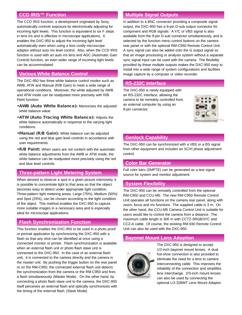#### **CCD IRIS™ Function**

The CCD IRIS function, a development originated by Sony, automatically controls exposure by electronically adjusting for incoming light levels. This function is equivalent to six F steps in lens iris and is effective in microscope applications. It enables the DXC-950 to adjust the incoming light level automatically even when using a less costly microscope adaptor without auto iris level control. Also, when the CCD IRIS function is used with an auto iris lens and AGC (Automatic Gain Control) function, an even wider range of incoming light levels can be accommodated.

### **Various White Balance Control**

The DXC-950 has three white balance control modes such as AWB, ATW and Manual (R/B Gain) to meet a wide range of operational conditions. Moreover, the white adjusted by AWB and ATW mode can be readjusted more precisely with R/B Paint function.

- **•AWB (Auto White Balance):** Memorizes the adjusted white balance value.
- **•ATW (Auto Tracing White Balance):** Adjusts the white balance automatically in response to the varying light conditions.
- **•Manual (R/B Gain):** White balance can be adjusted using the red and blue gain level controls in accordance with user requirements.
- **•R/B Paint:** When users are not content with the automatic white balance adjustments from the AWB or ATW mode, the white balance can be readjusted more precisely using the red and blue level controls.

#### **Three-pattern Light Metering System**

When desired to observe a spot in a given picture intensively, it is possible to concentrate light to that area so that the object becomes easy to detect under appropriate light condition. Three-pattern light metering areas, Large (75%), Medium (50%) and Spot (25%), can be chosen according to the light condition of the object. This method enables the DXC-950 to capture more suitable images in a necessary area and is especially ideal for microscope applications.

#### **Flash Synchronization Function**

This function enables the DXC-950 to be used in a photo proof or portrait application by synchronizing the DXC-950 with a flash so that any shot can be identified at once using a connected monitor or printer. Flash synchronization is available when an external flash unit or photo flash slave unit is connected to the DXC-950. In the case of an external flash unit, it is connected to the camera directly and the camera is the master unit. By pushing the trigger button on the rear panel or on the RM-C950, the connected external flash unit detects the synchronization from the camera or the RM-C950 and fires a flash simultaneously. (Master Mode) On the other hand, by connecting a photo flash slave unit to the camera, the DXC-950 itself perceives an external flash and optically synchronizes with the timing of the external flash. (Slave Mode)

## **Multiple Signal Outputs**

In addition to a BNC connector providing a composite signal output, the DXC-950 has a 9-pin D-sub output connector for component and RGB signals. A Y/C or VBS signal is also available from the 9-pin D-sub connector simultaneously, and is selected by the function menu control buttons on the camera rear panel or with the optional RM-C950 Remote Control Unit. A sync signal can also be added onto the G output signal so that an image processing or analysis system without a separate sync signal input can be used with the camera. The flexibility provided by these multiple outputs makes the DXC-950 easy to install into a wide range of system configurations and facilities image capture by a computer or video recorder.

### **RS-232C Interface**

The DXC-950 is newly equipped with an RS-232C interface, allowing the camera to be remotely controlled from an external computer by using an 8-pin connector.



# **Genlock Capability**

The DXC-950 can be synchronized with a VBS or a BS signal from other equipment and includes an SC/H phase adjustment control.

#### **Color Bar Generator**

Full color bars (SMPTE) can be generated as a test signal source for system and monitor adjustment.

# **System Flexibility**

The DXC-950 can be remotely controlled from the optional RM-C950 and CCU-M5. The new RM-C950 Remote Control Unit operates all functions on the camera rear panel, along with zoom, focus and iris functions. The supplied cable is 3 m. On the other hand, the CCU-M5 Camera Control Unit is suitable for users would like to control the camera from a distance. The maximum cable length is 300 m with CCTZ-3RGB/3YC and CCZ-A cable. Of course, the existing RM-930 Remote Control Unit can also be used with the DXC-950.

# **Bayonet Mount Lens Adoption**



The DXC-950 is designed to accept 1/2-inch bayonet mount lenses. A dual hot-shoe connection is also provided to eliminate the need for a lens to camera interconnecting cable. This improves the reliability of the connection and simplifies lens interchange. 2/3-inch mount lenses can also be used by connecting the optional LO-32BMT Lens Mount Adaptor.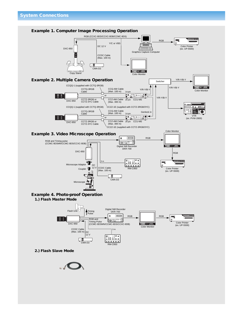

 $\overline{\phantom{a}}$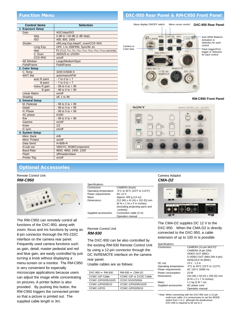#### **Function Menu**

| <b>Control items</b> | <b>Selection</b>                                                           |  |
|----------------------|----------------------------------------------------------------------------|--|
| 1. Exposure Setup    |                                                                            |  |
| Gain                 | AGC/step/ISO                                                               |  |
| step                 | $0$ dB to $+18$ dB (1 dB step)                                             |  |
| <b>ISO</b>           | 400, 800, 1600                                                             |  |
| Shutter              | off/Long Exp./step/C. scan/CCD IRIS                                        |  |
| Long Exp.            | OFF, 1 to 256FRM, Sync/W. en                                               |  |
| step                 | FL (1/100), 1/125, 1/250, 1/500, 1/1000, 1/2000, 1/4000, 1/10000 (seconds) |  |
| C. Scan              | 260/525 to 1/525H                                                          |  |
| <b>CCD IRIS</b>      | on/off                                                                     |  |
| <b>AE Window</b>     | Large/Medium/Spot                                                          |  |
| Field/Frame          | Field/Frame                                                                |  |
| 2. Color Setup       |                                                                            |  |
| C. Temp              | 3200 K/5600 K                                                              |  |
| WHT. Bal             | auto/manu/ATW                                                              |  |
| auto R paint         | $-7$ to 0 to $+7$                                                          |  |
| <b>B</b> paint       | $-7$ to 0 to $+7$                                                          |  |
| manu R gain          | $-99$ to 0 to $+99$                                                        |  |
| B gain               | $-99$ to 0 to $+99$                                                        |  |
| <b>Linear Matrix</b> | on/off                                                                     |  |
| Shading              | off, 1 to 99                                                               |  |
| 3. General Setup     |                                                                            |  |
| M. Pedestal          | $-99$ to 0 to $+99$                                                        |  |
| Detail               | $-99$ to 0 to $+99$                                                        |  |
| H. Phase             | $-99$ to 0 to $+99$                                                        |  |
| SC phase             | 0/180                                                                      |  |
| fine                 | $-99$ to 0 to $+99$                                                        |  |
| Gamma                | on/off                                                                     |  |
| Knee                 | 1/2                                                                        |  |
| G sync               | on/off                                                                     |  |
| 4. System Setup      |                                                                            |  |
| Mem. Bank            | A/B                                                                        |  |
| Mem. Protect         | on/off                                                                     |  |
| Data Send            | A > B/B > A                                                                |  |
| D-sub out            | VBS/YC, RGB/Component                                                      |  |
| <b>Baud Rate</b>     | 9600, 4800, 2400, 1200                                                     |  |
| Flash                | off/master/slave                                                           |  |
| Printer Tria.        | on/off                                                                     |  |

#### **Optional Accessories**

#### Remote Control Unit **RM-C950**



The RM-C950 can remotely control all functions of the DXC-950, along with zoom, focus and iris functions by using an 8-pin connector thorough the RS-232C interface on the camera rear panel. Frequently used camera functions such as gain, detail, master pedestal and red and blue gain, are easily controlled by just turning a knob without displaying a menu-screen on a monitor. The RM-C950 is very convenient for especially microscope applications because users can adjust the image while concentrating on pictures. A printer button is also provided. By pushing this button, the RM-C950 triggers the connected printer so that a picture is printed out. The supplied cable length is 3m.

#### Specifications<br>Connectors: Connectors: CAMERA (8-pin)<br>Operating temperature: -5°C to 45°C (23° -5°C to 45°C (23°F to 113°F) Power requirements: DC 12 V<br>Mass: Approx 4 Mass: Approx. 400 g (14 oz)<br>Dimensions: 212 (W) x 41 (H) x 13 212 (W) x 41 (H) x 132 (D) mm (8 3⁄8 x 1 5⁄8 x 5 1⁄4 inches) (excluding projecting parts and controls) Supplied accessories: Connection cable (3 m) Operation manual

#### Remote Control Unit **RM-930**

The DXC-950 can be also controlled by the existing RM-930 Remote Control Unit by using a 12-pin connector through the DC IN/REMOTE interface on the camera rear panel.

Usable cables are as follows:

| $DXC-950 \leftrightarrow RM-930$ | $RM-930 \leftrightarrow CMA-D2$ |
|----------------------------------|---------------------------------|
| CCMC-12P Cable                   | CCMC-12P or CCDC Cable          |
| CCMC-12P02/05/10/25              | CCDC-5/10/25/50A                |
| CCMC-12P02/05/10                 | CCMC-12P02/05/10/25             |
| CCMC-12P25                       | CCMC-12P02/05/10                |
|                                  |                                 |

#### **DXC-950 Rear Panel & RM-C950 Front Panel**

Menu display ON/OFF switch Menu cursor control **DXC-950 Rear Panel** • • • **ED** FLASHS w. PATA Auto White Balance **LENG** Activation or • Selection for each Camera or control de la control de la control Color bars • • •Flash trigger/Print trigger or Selection **BOR/RYNE** for each control as vote of **DC IN** REMOVED

#### **RM-C950 Front Panel**



#### Camera Adaptor **CMA-D2**



The CMA-D2 supplies DC 12 V to the DXC-950. When the CMA-D2 is directly connected to the DXC-950, a cable extension of up to 100 m is possible.

| Specifications         |                               |
|------------------------|-------------------------------|
| Connectors:            | CAMERA (12-pin MULTI)*        |
|                        | CAMERA (4-pin DIN)            |
|                        | VIDEO OUT (BNC)               |
|                        | S VIDEO OUT (Mini DIN 4-pin)  |
|                        | <b>GENLOCK IN (BNC)</b>       |
| DC out:                | 13 V, 1.3 A                   |
| Operating temperature: | -5°C to 45°C (23°F to 113°F)  |
| Power requirements:    | AC 120 V. 50/60 Hz            |
| Power consumption:     | 23 W                          |
| Dimensions:            | 210 (W) x 50 (H) x 200 (D) mm |
|                        | (8 3/8 x 2 x 7 7/8 inches)    |
| Mass:                  | 1.1 kg (2 lb 7 oz)            |
| Supplied accessories   | AC power cord                 |
|                        | Operation manual              |

\* Note: When connecting with the DXC-950 over a 12-pin multi-core cable, it is unnecessary to set the MODE switch from 1 to 2 although the predecessor DXC-930 is required to be set to 2.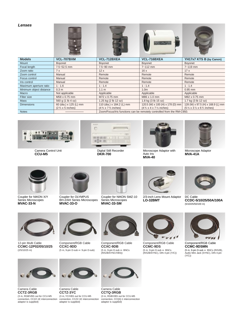**Lenses**



| <b>Focal length</b>     | $7.5 - 52.5$ mm                                            | 7.5~90 mm                                                                        | $/2$ –112 mm                                                                                     | 7~119 mm                                                                                                     |
|-------------------------|------------------------------------------------------------|----------------------------------------------------------------------------------|--------------------------------------------------------------------------------------------------|--------------------------------------------------------------------------------------------------------------|
| Zoom ratio              | 7x                                                         | 12x                                                                              | 16x                                                                                              | 17x                                                                                                          |
| Zoom control            | Manual                                                     | Remote                                                                           | Remote                                                                                           | Remote                                                                                                       |
| Focus control           | Manual                                                     | Remote                                                                           | Remote                                                                                           | Remote                                                                                                       |
| Iris control            | Manual                                                     | Remote                                                                           | Remote                                                                                           | Remote                                                                                                       |
| Maximum aperture ratio  | 1:1.6                                                      | 1:1.4                                                                            | 1:1.4                                                                                            | 1:1.4                                                                                                        |
| Minimum object distance | 0.3 <sub>m</sub>                                           | 1.1 <sub>m</sub>                                                                 | 1.0 <sub>m</sub>                                                                                 | $0.95$ mm                                                                                                    |
| Macro                   | Not applicable                                             | Applicable                                                                       | Applicable                                                                                       | Applicable                                                                                                   |
| Filter size             | M58 x 0.75 mm                                              | M72 x 0.75 mm                                                                    | M86 x 1.0 mm                                                                                     | M82 x 0.75 mm                                                                                                |
| <b>Mass</b>             | 560 g (1 lb 4 oz)                                          | 1.25 kg (2 lb 12 oz)                                                             | 1.8 kg (3 lb 15 oz)                                                                              | 1.7 kg (3 lb 12 oz)                                                                                          |
| <b>Dimensions</b>       | 60 (dia.) x 125 (L) mm<br>$(2\frac{3}{8} \times 5$ inches) | 110 (dia.) x 184.2 (L) mm<br>$(4\frac{3}{8} \times 7\frac{3}{8} \text{ inches})$ | 120.5 (W) x 100 (H) x 178 (D) mm<br>$(4\frac{3}{4} \times 4 \times 7\frac{1}{8} \text{ inches})$ | 128 (W) x 97.5 (H) x 168.9 (L) mm<br>$(5\frac{1}{8} \times 3\frac{7}{8} \times 6\frac{3}{4} \text{ inches})$ |
| <b>Notes</b>            |                                                            | Zoom/Focus/Iris functions can be remotely controlled from the RM-C950.           |                                                                                                  |                                                                                                              |



Camera Control Unit **CCU-M5**



Digital Still Recorder **DKR-700**



Microscope Adaptor with Auto Iris **MVA-40**



Microscope Adaptor **MVA-41A**



Coupler for NIKON X/Y Series Microscopes **MVAC-33-N**



Coupler for OLYMPUS BH-2/AH Series Microscopes **MVAC-33-O**



Coupler for NIKON SMZ-10 Series Microscopes **MVAC-33-SM**



2/3-inch Lens Mount Adaptor **LO-32BMT**



DC Cable **CCDC-5/10/25/50A/100A** (5/10/25/50/100 m)



12-pin Multi Cable **CCMC-12P02/05/10/25** (2/5/10/25 m)



Component/RGB Cable **CCXC-9DD** (5 m, 9-pin D-sub  $\leftrightarrow$  9-pin D-sub)



Component/RGB Cable **CCXC-9DB** (5 m, 9-pin D-sub  $\leftrightarrow$  BNCs (R/G/B/SYNC/VBS))



Component/RGB Cable **CCMC-9DS** (5 m, 9-pin D-sub  $\leftrightarrow$  BNCs (R/G/B/SYNC), DIN 4-pin (Y/C))



Component/RGB Cable **CCMC-9DSMN** (5 m, 9-pin D-sub  $\leftrightarrow$  BNCs (R/G/B), Audio Mini Jack (SYNC), DIN 4-pin (Y/C))



connection, CCZZ-1E interconnection connection, CCZZ-1E interconnection Camera Cable **CCTZ-3RGB** (3 m, RGB/VBS out for CCU-M5 adaptor is supplied)



Camera Cable **CCTZ-3YC** (3 m, YC/VBS out for CCU-M5 adaptor is supplied)



Camera Cable **CCTQ-3RGB** (3 m, RGB/VBS out for CCU-M5 connection, CCQQ-1 interconnection adaptor is supplied)